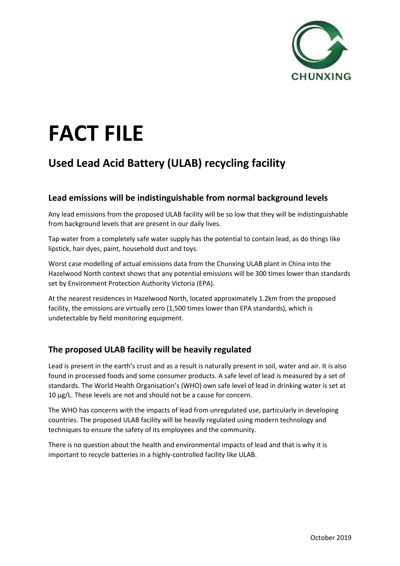

# **FACT FILE**

## **Used Lead Acid Battery (ULAB) recycling facility**

#### **Lead emissions will be indistinguishable from normal background levels**

Any lead emissions from the proposed ULAB facility will be so low that they will be indistinguishable from background levels that are present in our daily lives.

Tap water from a completely safe water supply has the potential to contain lead, as do things like lipstick, hair dyes, paint, household dust and toys.

Worst case modelling of actual emissions data from the Chunxing ULAB plant in China into the Hazelwood North context shows that any potential emissions will be 300 times lower than standards set by Environment Protection Authority Victoria (EPA).

At the nearest residences in Hazelwood North, located approximately 1.2km from the proposed facility, the emissions are virtually zero (1,500 times lower than EPA standards), which is undetectable by field monitoring equipment.

### **The proposed ULAB facility will be heavily regulated**

Lead is present in the earth's crust and as a result is naturally present in soil, water and air. It is also found in processed foods and some consumer products. A safe level of lead is measured by a set of standards. The World Health Organisation's (WHO) own safe level of lead in drinking water is set at 10 µg/L. These levels are not and should not be a cause for concern.

The WHO has concerns with the impacts of lead from unregulated use, particularly in developing countries. The proposed ULAB facility will be heavily regulated using modern technology and techniques to ensure the safety of its employees and the community.

There is no question about the health and environmental impacts of lead and that is why it is important to recycle batteries in a highly-controlled facility like ULAB.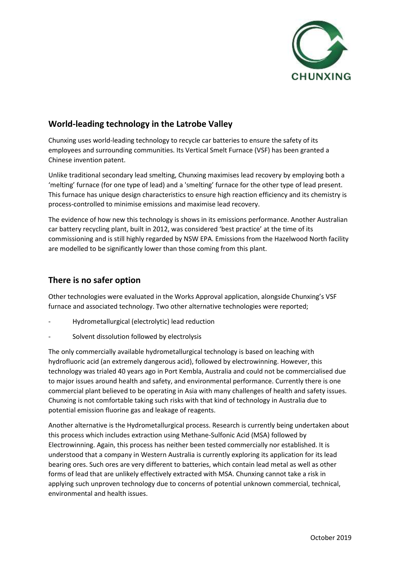

#### **World-leading technology in the Latrobe Valley**

Chunxing uses world-leading technology to recycle car batteries to ensure the safety of its employees and surrounding communities. Its Vertical Smelt Furnace (VSF) has been granted a Chinese invention patent.

Unlike traditional secondary lead smelting, Chunxing maximises lead recovery by employing both a 'melting' furnace (for one type of lead) and a 'smelting' furnace for the other type of lead present. This furnace has unique design characteristics to ensure high reaction efficiency and its chemistry is process-controlled to minimise emissions and maximise lead recovery.

The evidence of how new this technology is shows in its emissions performance. Another Australian car battery recycling plant, built in 2012, was considered 'best practice' at the time of its commissioning and is still highly regarded by NSW EPA. Emissions from the Hazelwood North facility are modelled to be significantly lower than those coming from this plant.

#### **There is no safer option**

Other technologies were evaluated in the Works Approval application, alongside Chunxing's VSF furnace and associated technology. Two other alternative technologies were reported;

- Hydrometallurgical (electrolytic) lead reduction
- Solvent dissolution followed by electrolysis

The only commercially available hydrometallurgical technology is based on leaching with hydrofluoric acid (an extremely dangerous acid), followed by electrowinning. However, this technology was trialed 40 years ago in Port Kembla, Australia and could not be commercialised due to major issues around health and safety, and environmental performance. Currently there is one commercial plant believed to be operating in Asia with many challenges of health and safety issues. Chunxing is not comfortable taking such risks with that kind of technology in Australia due to potential emission fluorine gas and leakage of reagents.

Another alternative is the Hydrometallurgical process. Research is currently being undertaken about this process which includes extraction using Methane-Sulfonic Acid (MSA) followed by Electrowinning. Again, this process has neither been tested commercially nor established. It is understood that a company in Western Australia is currently exploring its application for its lead bearing ores. Such ores are very different to batteries, which contain lead metal as well as other forms of lead that are unlikely effectively extracted with MSA. Chunxing cannot take a risk in applying such unproven technology due to concerns of potential unknown commercial, technical, environmental and health issues.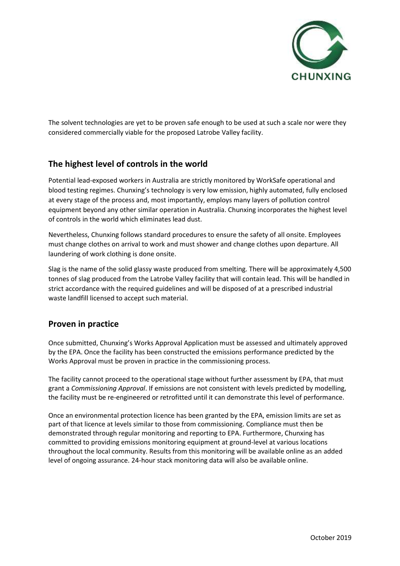

The solvent technologies are yet to be proven safe enough to be used at such a scale nor were they considered commercially viable for the proposed Latrobe Valley facility.

#### **The highest level of controls in the world**

Potential lead-exposed workers in Australia are strictly monitored by WorkSafe operational and blood testing regimes. Chunxing's technology is very low emission, highly automated, fully enclosed at every stage of the process and, most importantly, employs many layers of pollution control equipment beyond any other similar operation in Australia. Chunxing incorporates the highest level of controls in the world which eliminates lead dust.

Nevertheless, Chunxing follows standard procedures to ensure the safety of all onsite. Employees must change clothes on arrival to work and must shower and change clothes upon departure. All laundering of work clothing is done onsite.

Slag is the name of the solid glassy waste produced from smelting. There will be approximately 4,500 tonnes of slag produced from the Latrobe Valley facility that will contain lead. This will be handled in strict accordance with the required guidelines and will be disposed of at a prescribed industrial waste landfill licensed to accept such material.

#### **Proven in practice**

Once submitted, Chunxing's Works Approval Application must be assessed and ultimately approved by the EPA. Once the facility has been constructed the emissions performance predicted by the Works Approval must be proven in practice in the commissioning process.

The facility cannot proceed to the operational stage without further assessment by EPA, that must grant a *Commissioning Approval*. If emissions are not consistent with levels predicted by modelling, the facility must be re-engineered or retrofitted until it can demonstrate this level of performance.

Once an environmental protection licence has been granted by the EPA, emission limits are set as part of that licence at levels similar to those from commissioning. Compliance must then be demonstrated through regular monitoring and reporting to EPA. Furthermore, Chunxing has committed to providing emissions monitoring equipment at ground-level at various locations throughout the local community. Results from this monitoring will be available online as an added level of ongoing assurance. 24-hour stack monitoring data will also be available online.